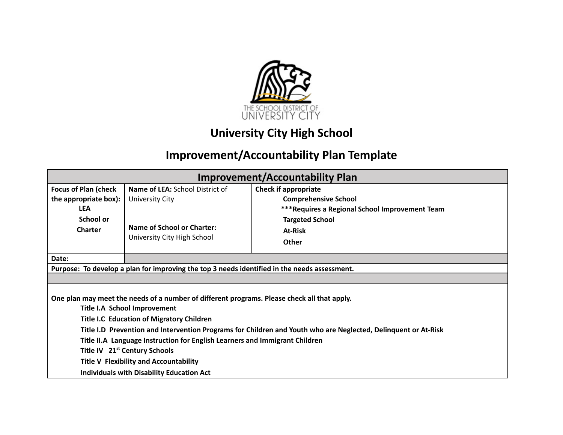

# **University City High School**

# **Improvement/Accountability Plan Template**

| <b>Improvement/Accountability Plan</b>                                                                                                                                          |                                                                                                                               |                                                                                                                                                    |  |  |  |
|---------------------------------------------------------------------------------------------------------------------------------------------------------------------------------|-------------------------------------------------------------------------------------------------------------------------------|----------------------------------------------------------------------------------------------------------------------------------------------------|--|--|--|
| <b>Focus of Plan (check</b><br>the appropriate box):<br><b>LEA</b><br>School or<br><b>Charter</b>                                                                               | <b>Name of LEA: School District of</b><br><b>University City</b><br>Name of School or Charter:<br>University City High School | <b>Check if appropriate</b><br><b>Comprehensive School</b><br>*** Requires a Regional School Improvement Team<br><b>Targeted School</b><br>At-Risk |  |  |  |
| Date:                                                                                                                                                                           |                                                                                                                               | Other                                                                                                                                              |  |  |  |
|                                                                                                                                                                                 | Purpose: To develop a plan for improving the top 3 needs identified in the needs assessment.                                  |                                                                                                                                                    |  |  |  |
|                                                                                                                                                                                 |                                                                                                                               |                                                                                                                                                    |  |  |  |
| One plan may meet the needs of a number of different programs. Please check all that apply.<br>Title I.A School Improvement<br><b>Title I.C Education of Migratory Children</b> |                                                                                                                               |                                                                                                                                                    |  |  |  |
|                                                                                                                                                                                 |                                                                                                                               | Title I.D Prevention and Intervention Programs for Children and Youth who are Neglected, Delinquent or At-Risk                                     |  |  |  |
| Title II.A Language Instruction for English Learners and Immigrant Children                                                                                                     |                                                                                                                               |                                                                                                                                                    |  |  |  |
|                                                                                                                                                                                 | Title IV 21 <sup>st</sup> Century Schools                                                                                     |                                                                                                                                                    |  |  |  |
| <b>Title V Flexibility and Accountability</b><br><b>Individuals with Disability Education Act</b>                                                                               |                                                                                                                               |                                                                                                                                                    |  |  |  |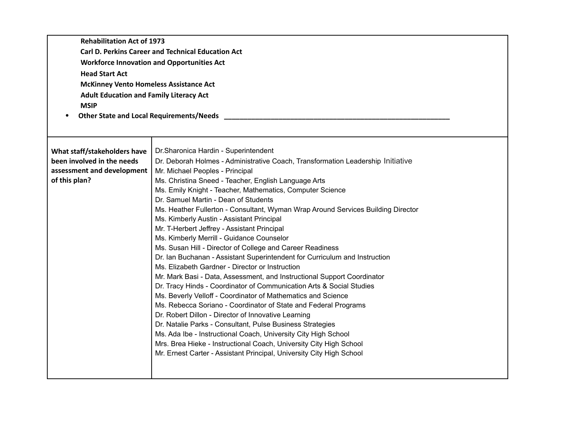| <b>Rehabilitation Act of 1973</b><br><b>Carl D. Perkins Career and Technical Education Act</b><br><b>Workforce Innovation and Opportunities Act</b><br><b>Head Start Act</b><br><b>McKinney Vento Homeless Assistance Act</b><br><b>Adult Education and Family Literacy Act</b><br><b>MSIP</b><br><b>Other State and Local Requirements/Needs</b><br>٠ |                                                                                                                                                                                                                                                                                                                                                                                                                                                                                                                                                                                                                                                                                                                                                                                                                                                                                                                                                                                                                                           |  |  |  |  |
|--------------------------------------------------------------------------------------------------------------------------------------------------------------------------------------------------------------------------------------------------------------------------------------------------------------------------------------------------------|-------------------------------------------------------------------------------------------------------------------------------------------------------------------------------------------------------------------------------------------------------------------------------------------------------------------------------------------------------------------------------------------------------------------------------------------------------------------------------------------------------------------------------------------------------------------------------------------------------------------------------------------------------------------------------------------------------------------------------------------------------------------------------------------------------------------------------------------------------------------------------------------------------------------------------------------------------------------------------------------------------------------------------------------|--|--|--|--|
| What staff/stakeholders have<br>been involved in the needs<br>assessment and development<br>of this plan?                                                                                                                                                                                                                                              | Dr. Sharonica Hardin - Superintendent<br>Dr. Deborah Holmes - Administrative Coach, Transformation Leadership Initiative<br>Mr. Michael Peoples - Principal<br>Ms. Christina Sneed - Teacher, English Language Arts<br>Ms. Emily Knight - Teacher, Mathematics, Computer Science<br>Dr. Samuel Martin - Dean of Students<br>Ms. Heather Fullerton - Consultant, Wyman Wrap Around Services Building Director<br>Ms. Kimberly Austin - Assistant Principal<br>Mr. T-Herbert Jeffrey - Assistant Principal<br>Ms. Kimberly Merrill - Guidance Counselor<br>Ms. Susan Hill - Director of College and Career Readiness<br>Dr. Ian Buchanan - Assistant Superintendent for Curriculum and Instruction<br>Ms. Elizabeth Gardner - Director or Instruction<br>Mr. Mark Basi - Data, Assessment, and Instructional Support Coordinator<br>Dr. Tracy Hinds - Coordinator of Communication Arts & Social Studies<br>Ms. Beverly Velloff - Coordinator of Mathematics and Science<br>Ms. Rebecca Soriano - Coordinator of State and Federal Programs |  |  |  |  |
| Dr. Robert Dillon - Director of Innovative Learning<br>Dr. Natalie Parks - Consultant, Pulse Business Strategies<br>Ms. Ada Ibe - Instructional Coach, University City High School<br>Mrs. Brea Hieke - Instructional Coach, University City High School<br>Mr. Ernest Carter - Assistant Principal, University City High School                       |                                                                                                                                                                                                                                                                                                                                                                                                                                                                                                                                                                                                                                                                                                                                                                                                                                                                                                                                                                                                                                           |  |  |  |  |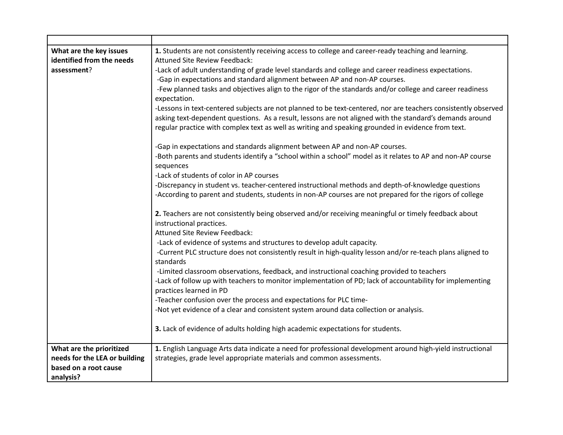| What are the key issues<br>identified from the needs | 1. Students are not consistently receiving access to college and career-ready teaching and learning.<br>Attuned Site Review Feedback: |
|------------------------------------------------------|---------------------------------------------------------------------------------------------------------------------------------------|
| assessment?                                          | -Lack of adult understanding of grade level standards and college and career readiness expectations.                                  |
|                                                      |                                                                                                                                       |
|                                                      | -Gap in expectations and standard alignment between AP and non-AP courses.                                                            |
|                                                      | -Few planned tasks and objectives align to the rigor of the standards and/or college and career readiness<br>expectation.             |
|                                                      | -Lessons in text-centered subjects are not planned to be text-centered, nor are teachers consistently observed                        |
|                                                      | asking text-dependent questions. As a result, lessons are not aligned with the standard's demands around                              |
|                                                      | regular practice with complex text as well as writing and speaking grounded in evidence from text.                                    |
|                                                      | -Gap in expectations and standards alignment between AP and non-AP courses.                                                           |
|                                                      | -Both parents and students identify a "school within a school" model as it relates to AP and non-AP course<br>sequences               |
|                                                      | -Lack of students of color in AP courses                                                                                              |
|                                                      | -Discrepancy in student vs. teacher-centered instructional methods and depth-of-knowledge questions                                   |
|                                                      | -According to parent and students, students in non-AP courses are not prepared for the rigors of college                              |
|                                                      | 2. Teachers are not consistently being observed and/or receiving meaningful or timely feedback about<br>instructional practices.      |
|                                                      | Attuned Site Review Feedback:                                                                                                         |
|                                                      | -Lack of evidence of systems and structures to develop adult capacity.                                                                |
|                                                      | -Current PLC structure does not consistently result in high-quality lesson and/or re-teach plans aligned to<br>standards              |
|                                                      | -Limited classroom observations, feedback, and instructional coaching provided to teachers                                            |
|                                                      | -Lack of follow up with teachers to monitor implementation of PD; lack of accountability for implementing                             |
|                                                      | practices learned in PD                                                                                                               |
|                                                      | -Teacher confusion over the process and expectations for PLC time-                                                                    |
|                                                      | -Not yet evidence of a clear and consistent system around data collection or analysis.                                                |
|                                                      | 3. Lack of evidence of adults holding high academic expectations for students.                                                        |
| What are the prioritized                             | 1. English Language Arts data indicate a need for professional development around high-yield instructional                            |
| needs for the LEA or building                        | strategies, grade level appropriate materials and common assessments.                                                                 |
| based on a root cause                                |                                                                                                                                       |
| analysis?                                            |                                                                                                                                       |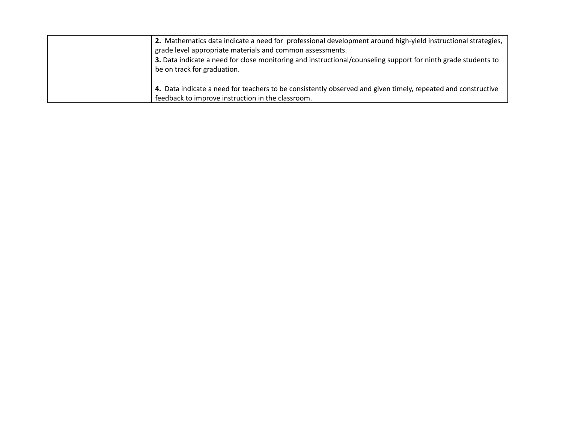| 2. Mathematics data indicate a need for professional development around high-yield instructional strategies,<br>grade level appropriate materials and common assessments.<br>3. Data indicate a need for close monitoring and instructional/counseling support for ninth grade students to<br>be on track for graduation. |
|---------------------------------------------------------------------------------------------------------------------------------------------------------------------------------------------------------------------------------------------------------------------------------------------------------------------------|
| 4. Data indicate a need for teachers to be consistently observed and given timely, repeated and constructive<br>feedback to improve instruction in the classroom.                                                                                                                                                         |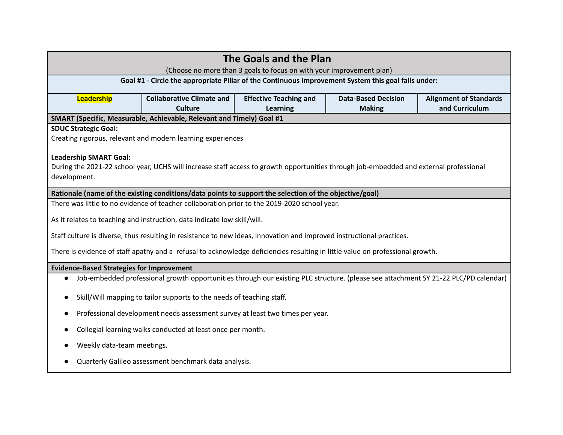| The Goals and the Plan<br>(Choose no more than 3 goals to focus on with your improvement plan)                                                                                          |                                                                                                                                                                                                   |  |  |  |  |  |
|-----------------------------------------------------------------------------------------------------------------------------------------------------------------------------------------|---------------------------------------------------------------------------------------------------------------------------------------------------------------------------------------------------|--|--|--|--|--|
|                                                                                                                                                                                         | Goal #1 - Circle the appropriate Pillar of the Continuous Improvement System this goal falls under:                                                                                               |  |  |  |  |  |
| Leadership                                                                                                                                                                              | <b>Collaborative Climate and</b><br><b>Effective Teaching and</b><br><b>Data-Based Decision</b><br><b>Alignment of Standards</b><br><b>Culture</b><br>and Curriculum<br>Learning<br><b>Making</b> |  |  |  |  |  |
|                                                                                                                                                                                         | SMART (Specific, Measurable, Achievable, Relevant and Timely) Goal #1                                                                                                                             |  |  |  |  |  |
| <b>SDUC Strategic Goal:</b>                                                                                                                                                             | Creating rigorous, relevant and modern learning experiences                                                                                                                                       |  |  |  |  |  |
| <b>Leadership SMART Goal:</b><br>During the 2021-22 school year, UCHS will increase staff access to growth opportunities through job-embedded and external professional<br>development. |                                                                                                                                                                                                   |  |  |  |  |  |
|                                                                                                                                                                                         | Rationale (name of the existing conditions/data points to support the selection of the objective/goal)                                                                                            |  |  |  |  |  |
|                                                                                                                                                                                         | There was little to no evidence of teacher collaboration prior to the 2019-2020 school year.                                                                                                      |  |  |  |  |  |
|                                                                                                                                                                                         | As it relates to teaching and instruction, data indicate low skill/will.                                                                                                                          |  |  |  |  |  |
|                                                                                                                                                                                         | Staff culture is diverse, thus resulting in resistance to new ideas, innovation and improved instructional practices.                                                                             |  |  |  |  |  |
|                                                                                                                                                                                         | There is evidence of staff apathy and a refusal to acknowledge deficiencies resulting in little value on professional growth.                                                                     |  |  |  |  |  |
| <b>Evidence-Based Strategies for Improvement</b>                                                                                                                                        |                                                                                                                                                                                                   |  |  |  |  |  |
|                                                                                                                                                                                         | Job-embedded professional growth opportunities through our existing PLC structure. (please see attachment SY 21-22 PLC/PD calendar)                                                               |  |  |  |  |  |
| Skill/Will mapping to tailor supports to the needs of teaching staff.                                                                                                                   |                                                                                                                                                                                                   |  |  |  |  |  |
| Professional development needs assessment survey at least two times per year.                                                                                                           |                                                                                                                                                                                                   |  |  |  |  |  |
| Collegial learning walks conducted at least once per month.                                                                                                                             |                                                                                                                                                                                                   |  |  |  |  |  |
| Weekly data-team meetings.                                                                                                                                                              |                                                                                                                                                                                                   |  |  |  |  |  |
|                                                                                                                                                                                         | Quarterly Galileo assessment benchmark data analysis.                                                                                                                                             |  |  |  |  |  |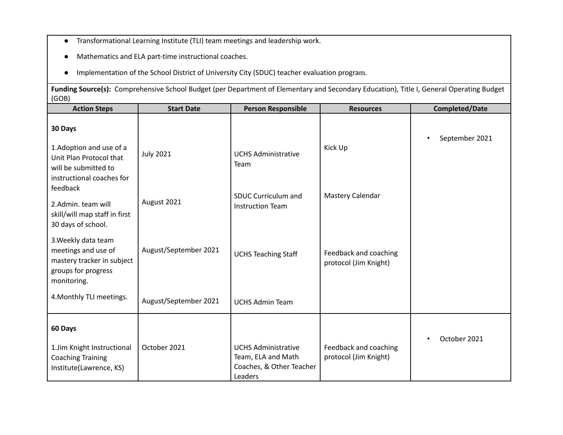- Transformational Learning Institute (TLI) team meetings and leadership work.
- Mathematics and ELA part-time instructional coaches.
- Implementation of the School District of University City (SDUC) teacher evaluation program.

**Funding Source(s):** Comprehensive School Budget (per Department of Elementary and Secondary Education), Title I, General Operating Budget (GOB)

| <b>Action Steps</b>                                                                                                             | <b>Start Date</b>     | <b>Person Responsible</b>                             | <b>Resources</b>                               | <b>Completed/Date</b>       |
|---------------------------------------------------------------------------------------------------------------------------------|-----------------------|-------------------------------------------------------|------------------------------------------------|-----------------------------|
| 30 Days<br>1. Adoption and use of a<br>Unit Plan Protocol that<br>will be submitted to<br>instructional coaches for<br>feedback | <b>July 2021</b>      | <b>UCHS Administrative</b><br>Team                    | Kick Up                                        | September 2021<br>$\bullet$ |
| 2.Admin. team will<br>skill/will map staff in first<br>30 days of school.                                                       | August 2021           | <b>SDUC Curriculum and</b><br><b>Instruction Team</b> | Mastery Calendar                               |                             |
| 3. Weekly data team<br>meetings and use of<br>mastery tracker in subject<br>groups for progress<br>monitoring.                  | August/September 2021 | <b>UCHS Teaching Staff</b>                            | Feedback and coaching<br>protocol (Jim Knight) |                             |
| 4. Monthly TLI meetings.                                                                                                        | August/September 2021 | <b>UCHS Admin Team</b>                                |                                                |                             |
| 60 Days<br>1.Jim Knight Instructional<br><b>Coaching Training</b>                                                               | October 2021          | <b>UCHS Administrative</b><br>Team, ELA and Math      | Feedback and coaching<br>protocol (Jim Knight) | October 2021<br>$\bullet$   |
| Institute(Lawrence, KS)                                                                                                         |                       | Coaches, & Other Teacher<br>Leaders                   |                                                |                             |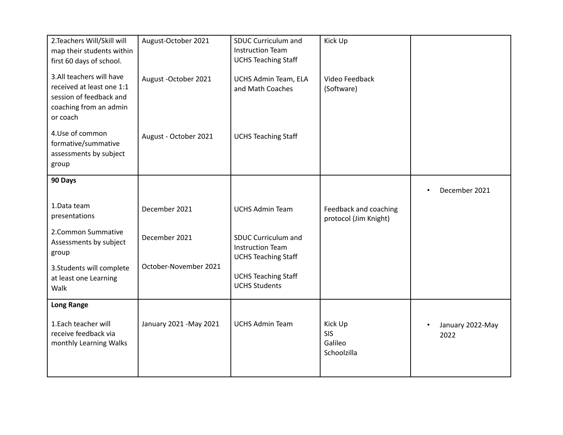| 2.Teachers Will/Skill will<br>map their students within<br>first 60 days of school.                                    | August-October 2021     | <b>SDUC Curriculum and</b><br><b>Instruction Team</b><br><b>UCHS Teaching Staff</b> | Kick Up                                         |                                       |
|------------------------------------------------------------------------------------------------------------------------|-------------------------|-------------------------------------------------------------------------------------|-------------------------------------------------|---------------------------------------|
| 3.All teachers will have<br>received at least one 1:1<br>session of feedback and<br>coaching from an admin<br>or coach | August - October 2021   | UCHS Admin Team, ELA<br>and Math Coaches                                            | Video Feedback<br>(Software)                    |                                       |
| 4.Use of common<br>formative/summative<br>assessments by subject<br>group                                              | August - October 2021   | <b>UCHS Teaching Staff</b>                                                          |                                                 |                                       |
| 90 Days                                                                                                                |                         |                                                                                     |                                                 | December 2021                         |
| 1.Data team<br>presentations                                                                                           | December 2021           | <b>UCHS Admin Team</b>                                                              | Feedback and coaching<br>protocol (Jim Knight)  |                                       |
| 2. Common Summative<br>Assessments by subject<br>group                                                                 | December 2021           | <b>SDUC Curriculum and</b><br><b>Instruction Team</b><br><b>UCHS Teaching Staff</b> |                                                 |                                       |
| 3. Students will complete<br>at least one Learning<br>Walk                                                             | October-November 2021   | <b>UCHS Teaching Staff</b><br><b>UCHS Students</b>                                  |                                                 |                                       |
| <b>Long Range</b>                                                                                                      |                         |                                                                                     |                                                 |                                       |
| 1.Each teacher will<br>receive feedback via<br>monthly Learning Walks                                                  | January 2021 - May 2021 | <b>UCHS Admin Team</b>                                                              | Kick Up<br><b>SIS</b><br>Galileo<br>Schoolzilla | January 2022-May<br>$\bullet$<br>2022 |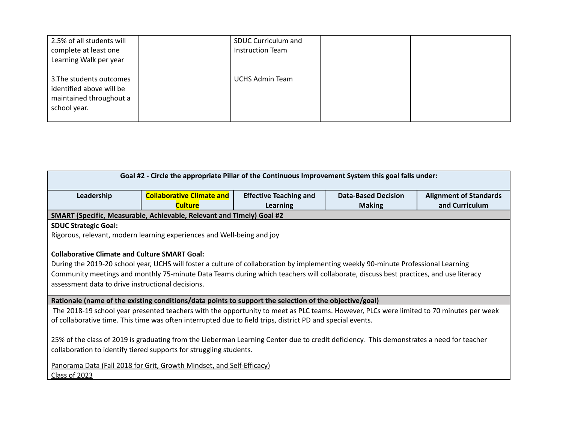| 2.5% of all students will<br>complete at least one<br>Learning Walk per year                    | SDUC Curriculum and<br>Instruction Team |  |
|-------------------------------------------------------------------------------------------------|-----------------------------------------|--|
| 3. The students outcomes<br>identified above will be<br>maintained throughout a<br>school year. | <b>UCHS Admin Team</b>                  |  |

| Goal #2 - Circle the appropriate Pillar of the Continuous Improvement System this goal falls under:                                                                                                                                                                                                                                                                                     |                                                                        |                               |                            |                               |  |  |
|-----------------------------------------------------------------------------------------------------------------------------------------------------------------------------------------------------------------------------------------------------------------------------------------------------------------------------------------------------------------------------------------|------------------------------------------------------------------------|-------------------------------|----------------------------|-------------------------------|--|--|
| Leadership                                                                                                                                                                                                                                                                                                                                                                              | <b>Collaborative Climate and</b>                                       | <b>Effective Teaching and</b> | <b>Data-Based Decision</b> | <b>Alignment of Standards</b> |  |  |
| <b>Culture</b><br>and Curriculum<br><b>Learning</b><br><b>Making</b><br>SMART (Specific, Measurable, Achievable, Relevant and Timely) Goal #2                                                                                                                                                                                                                                           |                                                                        |                               |                            |                               |  |  |
| <b>SDUC Strategic Goal:</b>                                                                                                                                                                                                                                                                                                                                                             |                                                                        |                               |                            |                               |  |  |
|                                                                                                                                                                                                                                                                                                                                                                                         | Rigorous, relevant, modern learning experiences and Well-being and joy |                               |                            |                               |  |  |
| <b>Collaborative Climate and Culture SMART Goal:</b><br>During the 2019-20 school year, UCHS will foster a culture of collaboration by implementing weekly 90-minute Professional Learning<br>Community meetings and monthly 75-minute Data Teams during which teachers will collaborate, discuss best practices, and use literacy<br>assessment data to drive instructional decisions. |                                                                        |                               |                            |                               |  |  |
| Rationale (name of the existing conditions/data points to support the selection of the objective/goal)                                                                                                                                                                                                                                                                                  |                                                                        |                               |                            |                               |  |  |
| The 2018-19 school year presented teachers with the opportunity to meet as PLC teams. However, PLCs were limited to 70 minutes per week                                                                                                                                                                                                                                                 |                                                                        |                               |                            |                               |  |  |
| of collaborative time. This time was often interrupted due to field trips, district PD and special events.                                                                                                                                                                                                                                                                              |                                                                        |                               |                            |                               |  |  |
| 25% of the class of 2019 is graduating from the Lieberman Learning Center due to credit deficiency. This demonstrates a need for teacher<br>collaboration to identify tiered supports for struggling students.                                                                                                                                                                          |                                                                        |                               |                            |                               |  |  |
|                                                                                                                                                                                                                                                                                                                                                                                         | Panorama Data (Fall 2018 for Grit, Growth Mindset, and Self-Efficacy)  |                               |                            |                               |  |  |
| Class of 2023                                                                                                                                                                                                                                                                                                                                                                           |                                                                        |                               |                            |                               |  |  |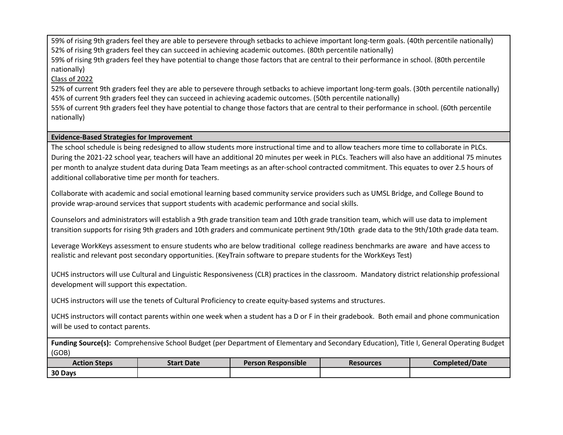59% of rising 9th graders feel they are able to persevere through setbacks to achieve important long-term goals. (40th percentile nationally) 52% of rising 9th graders feel they can succeed in achieving academic outcomes. (80th percentile nationally)

59% of rising 9th graders feel they have potential to change those factors that are central to their performance in school. (80th percentile nationally)

## Class of 2022

52% of current 9th graders feel they are able to persevere through setbacks to achieve important long-term goals. (30th percentile nationally) 45% of current 9th graders feel they can succeed in achieving academic outcomes. (50th percentile nationally)

55% of current 9th graders feel they have potential to change those factors that are central to their performance in school. (60th percentile nationally)

### **Evidence-Based Strategies for Improvement**

The school schedule is being redesigned to allow students more instructional time and to allow teachers more time to collaborate in PLCs. During the 2021-22 school year, teachers will have an additional 20 minutes per week in PLCs. Teachers will also have an additional 75 minutes per month to analyze student data during Data Team meetings as an after-school contracted commitment. This equates to over 2.5 hours of additional collaborative time per month for teachers.

Collaborate with academic and social emotional learning based community service providers such as UMSL Bridge, and College Bound to provide wrap-around services that support students with academic performance and social skills.

Counselors and administrators will establish a 9th grade transition team and 10th grade transition team, which will use data to implement transition supports for rising 9th graders and 10th graders and communicate pertinent 9th/10th grade data to the 9th/10th grade data team.

Leverage WorkKeys assessment to ensure students who are below traditional college readiness benchmarks are aware and have access to realistic and relevant post secondary opportunities. (KeyTrain software to prepare students for the WorkKeys Test)

UCHS instructors will use Cultural and Linguistic Responsiveness (CLR) practices in the classroom. Mandatory district relationship professional development will support this expectation.

UCHS instructors will use the tenets of Cultural Proficiency to create equity-based systems and structures.

UCHS instructors will contact parents within one week when a student has a D or F in their gradebook. Both email and phone communication will be used to contact parents.

**Funding Source(s):** Comprehensive School Budget (per Department of Elementary and Secondary Education), Title I, General Operating Budget (GOB)

| <b>Action Steps</b> | <b>Start Date</b> | <b>Person Responsible</b> | <b>Resources</b> | <b>Completed/Date</b> |
|---------------------|-------------------|---------------------------|------------------|-----------------------|
| 30 Days             |                   |                           |                  |                       |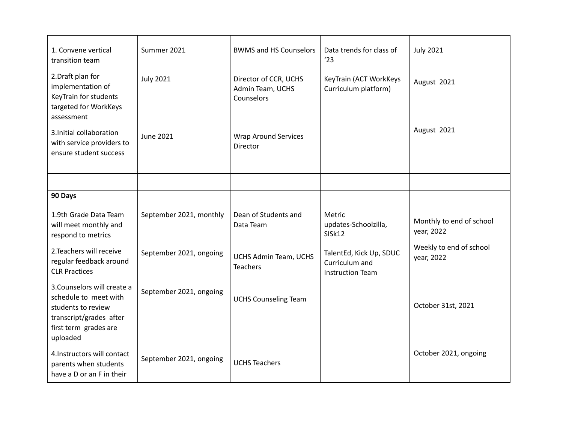| 1. Convene vertical<br>transition team                                                                                                     | Summer 2021             | <b>BWMS and HS Counselors</b>                           | Data trends for class of<br>'23                                      | <b>July 2021</b>                       |
|--------------------------------------------------------------------------------------------------------------------------------------------|-------------------------|---------------------------------------------------------|----------------------------------------------------------------------|----------------------------------------|
| 2. Draft plan for<br>implementation of<br>KeyTrain for students<br>targeted for WorkKeys<br>assessment                                     | <b>July 2021</b>        | Director of CCR, UCHS<br>Admin Team, UCHS<br>Counselors | KeyTrain (ACT WorkKeys<br>Curriculum platform)                       | August 2021                            |
| 3. Initial collaboration<br>with service providers to<br>ensure student success                                                            | <b>June 2021</b>        | <b>Wrap Around Services</b><br>Director                 |                                                                      | August 2021                            |
|                                                                                                                                            |                         |                                                         |                                                                      |                                        |
| 90 Days                                                                                                                                    |                         |                                                         |                                                                      |                                        |
| 1.9th Grade Data Team<br>will meet monthly and<br>respond to metrics                                                                       | September 2021, monthly | Dean of Students and<br>Data Team                       | Metric<br>updates-Schoolzilla,<br>SISk12                             | Monthly to end of school<br>year, 2022 |
| 2. Teachers will receive<br>regular feedback around<br><b>CLR Practices</b>                                                                | September 2021, ongoing | <b>UCHS Admin Team, UCHS</b><br><b>Teachers</b>         | TalentEd, Kick Up, SDUC<br>Curriculum and<br><b>Instruction Team</b> | Weekly to end of school<br>year, 2022  |
| 3. Counselors will create a<br>schedule to meet with<br>students to review<br>transcript/grades after<br>first term grades are<br>uploaded | September 2021, ongoing | <b>UCHS Counseling Team</b>                             |                                                                      | October 31st, 2021                     |
| 4.Instructors will contact<br>parents when students<br>have a D or an F in their                                                           | September 2021, ongoing | <b>UCHS Teachers</b>                                    |                                                                      | October 2021, ongoing                  |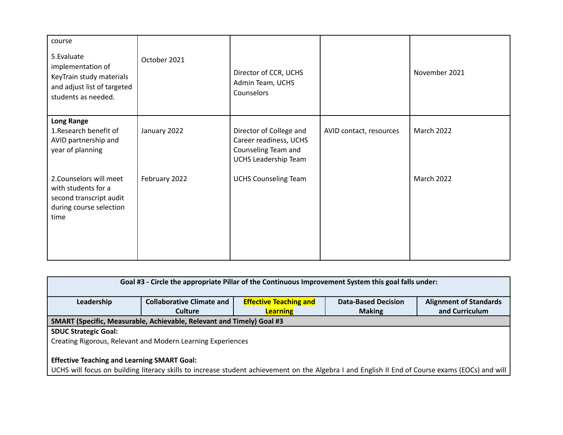| course<br>5. Evaluate<br>implementation of<br>KeyTrain study materials<br>and adjust list of targeted<br>students as needed. | October 2021  | Director of CCR, UCHS<br>Admin Team, UCHS<br>Counselors                                                 |                         | November 2021 |
|------------------------------------------------------------------------------------------------------------------------------|---------------|---------------------------------------------------------------------------------------------------------|-------------------------|---------------|
| <b>Long Range</b><br>1. Research benefit of<br>AVID partnership and<br>year of planning                                      | January 2022  | Director of College and<br>Career readiness, UCHS<br>Counseling Team and<br><b>UCHS Leadership Team</b> | AVID contact, resources | March 2022    |
| 2. Counselors will meet<br>with students for a<br>second transcript audit<br>during course selection<br>time                 | February 2022 | <b>UCHS Counseling Team</b>                                                                             |                         | March 2022    |

| Goal #3 - Circle the appropriate Pillar of the Continuous Improvement System this goal falls under:                                             |                                  |                               |                            |                               |  |
|-------------------------------------------------------------------------------------------------------------------------------------------------|----------------------------------|-------------------------------|----------------------------|-------------------------------|--|
| Leadership                                                                                                                                      | <b>Collaborative Climate and</b> | <b>Effective Teaching and</b> | <b>Data-Based Decision</b> | <b>Alignment of Standards</b> |  |
|                                                                                                                                                 | <b>Culture</b>                   | <b>Learning</b>               | <b>Making</b>              | and Curriculum                |  |
| SMART (Specific, Measurable, Achievable, Relevant and Timely) Goal #3                                                                           |                                  |                               |                            |                               |  |
| <b>SDUC Strategic Goal:</b>                                                                                                                     |                                  |                               |                            |                               |  |
| Creating Rigorous, Relevant and Modern Learning Experiences                                                                                     |                                  |                               |                            |                               |  |
|                                                                                                                                                 |                                  |                               |                            |                               |  |
| <b>Effective Teaching and Learning SMART Goal:</b>                                                                                              |                                  |                               |                            |                               |  |
| UCHS will focus on building literacy skills to increase student achievement on the Algebra I and English II End of Course exams (EOCs) and will |                                  |                               |                            |                               |  |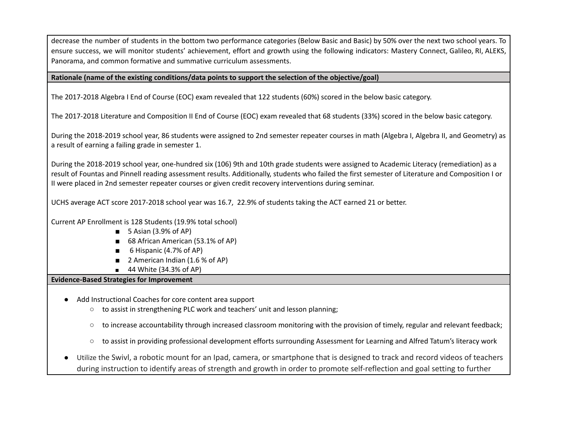decrease the number of students in the bottom two performance categories (Below Basic and Basic) by 50% over the next two school years. To ensure success, we will monitor students' achievement, effort and growth using the following indicators: Mastery Connect, Galileo, RI, ALEKS, Panorama, and common formative and summative curriculum assessments.

#### **Rationale (name of the existing conditions/data points to support the selection of the objective/goal)**

The 2017-2018 Algebra I End of Course (EOC) exam revealed that 122 students (60%) scored in the below basic category.

The 2017-2018 Literature and Composition II End of Course (EOC) exam revealed that 68 students (33%) scored in the below basic category.

During the 2018-2019 school year, 86 students were assigned to 2nd semester repeater courses in math (Algebra I, Algebra II, and Geometry) as a result of earning a failing grade in semester 1.

During the 2018-2019 school year, one-hundred six (106) 9th and 10th grade students were assigned to Academic Literacy (remediation) as a result of Fountas and Pinnell reading assessment results. Additionally, students who failed the first semester of Literature and Composition I or II were placed in 2nd semester repeater courses or given credit recovery interventions during seminar.

UCHS average ACT score 2017-2018 school year was 16.7, 22.9% of students taking the ACT earned 21 or better.

Current AP Enrollment is 128 Students (19.9% total school)

- 5 Asian (3.9% of AP)
- 68 African American (53.1% of AP)
- 6 Hispanic (4.7% of AP)
- 2 American Indian (1.6 % of AP)
- 44 White (34.3% of AP)

#### **Evidence-Based Strategies for Improvement**

- Add Instructional Coaches for core content area support
	- to assist in strengthening PLC work and teachers' unit and lesson planning;
	- $\circ$  to increase accountability through increased classroom monitoring with the provision of timely, regular and relevant feedback;
	- $\circ$  to assist in providing professional development efforts surrounding Assessment for Learning and Alfred Tatum's literacy work
- Utilize the Swivl, a robotic mount for an Ipad, camera, or smartphone that is designed to track and record videos of teachers during instruction to identify areas of strength and growth in order to promote self-reflection and goal setting to further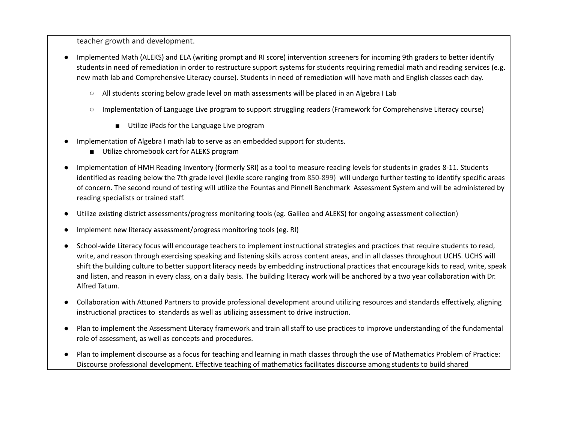teacher growth and development.

- Implemented Math (ALEKS) and ELA (writing prompt and RI score) intervention screeners for incoming 9th graders to better identify students in need of remediation in order to restructure support systems for students requiring remedial math and reading services (e.g. new math lab and Comprehensive Literacy course). Students in need of remediation will have math and English classes each day.
	- All students scoring below grade level on math assessments will be placed in an Algebra I Lab
	- Implementation of Language Live program to support struggling readers (Framework for Comprehensive Literacy course)
		- Utilize iPads for the Language Live program
- Implementation of Algebra I math lab to serve as an embedded support for students.
	- Utilize chromebook cart for ALEKS program
- Implementation of HMH Reading Inventory (formerly SRI) as a tool to measure reading levels for students in grades 8-11. Students identified as reading below the 7th grade level (lexile score ranging from 850-899) will undergo further testing to identify specific areas of concern. The second round of testing will utilize the Fountas and Pinnell Benchmark Assessment System and will be administered by reading specialists or trained staff.
- Utilize existing district assessments/progress monitoring tools (eg. Galileo and ALEKS) for ongoing assessment collection)
- Implement new literacy assessment/progress monitoring tools (eg. RI)
- School-wide Literacy focus will encourage teachers to implement instructional strategies and practices that require students to read, write, and reason through exercising speaking and listening skills across content areas, and in all classes throughout UCHS. UCHS will shift the building culture to better support literacy needs by embedding instructional practices that encourage kids to read, write, speak and listen, and reason in every class, on a daily basis. The building literacy work will be anchored by a two year collaboration with Dr. Alfred Tatum.
- Collaboration with Attuned Partners to provide professional development around utilizing resources and standards effectively, aligning instructional practices to standards as well as utilizing assessment to drive instruction.
- Plan to implement the Assessment Literacy framework and train all staff to use practices to improve understanding of the fundamental role of assessment, as well as concepts and procedures.
- Plan to implement discourse as a focus for teaching and learning in math classes through the use of Mathematics Problem of Practice: Discourse professional development. Effective teaching of mathematics facilitates discourse among students to build shared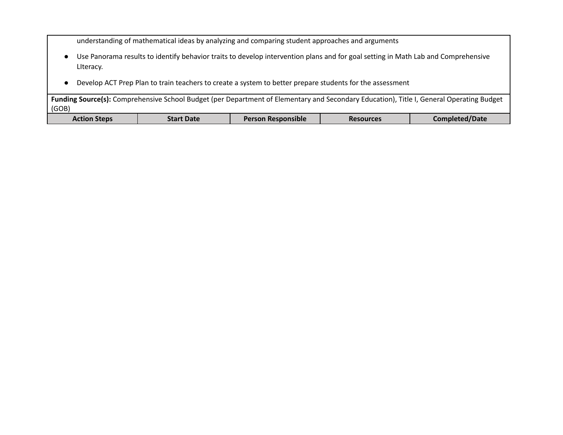understanding of mathematical ideas by analyzing and comparing student approaches and arguments

- Use Panorama results to identify behavior traits to develop intervention plans and for goal setting in Math Lab and Comprehensive LIteracy.
- Develop ACT Prep Plan to train teachers to create a system to better prepare students for the assessment

**Funding Source(s):** Comprehensive School Budget (per Department of Elementary and Secondary Education), Title I, General Operating Budget (GOB)

| <b>Action Steps</b> | <b>Start Date</b> | <b>Person Responsible</b> | <b>Resources</b> | Completed/Date |
|---------------------|-------------------|---------------------------|------------------|----------------|
|                     |                   |                           |                  |                |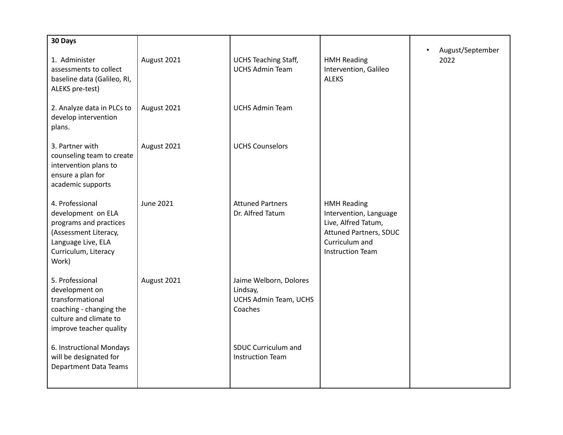| 30 Days                                                                                                                                         |                  |                                                                        |                                                                                                                                                   |                          |
|-------------------------------------------------------------------------------------------------------------------------------------------------|------------------|------------------------------------------------------------------------|---------------------------------------------------------------------------------------------------------------------------------------------------|--------------------------|
| 1. Administer<br>assessments to collect<br>baseline data (Galileo, RI,<br>ALEKS pre-test)                                                       | August 2021      | <b>UCHS Teaching Staff,</b><br><b>UCHS Admin Team</b>                  | <b>HMH Reading</b><br>Intervention, Galileo<br><b>ALEKS</b>                                                                                       | August/September<br>2022 |
| 2. Analyze data in PLCs to<br>develop intervention<br>plans.                                                                                    | August 2021      | <b>UCHS Admin Team</b>                                                 |                                                                                                                                                   |                          |
| 3. Partner with<br>counseling team to create<br>intervention plans to<br>ensure a plan for<br>academic supports                                 | August 2021      | <b>UCHS Counselors</b>                                                 |                                                                                                                                                   |                          |
| 4. Professional<br>development on ELA<br>programs and practices<br>(Assessment Literacy,<br>Language Live, ELA<br>Curriculum, Literacy<br>Work) | <b>June 2021</b> | <b>Attuned Partners</b><br>Dr. Alfred Tatum                            | <b>HMH Reading</b><br>Intervention, Language<br>Live, Alfred Tatum,<br><b>Attuned Partners, SDUC</b><br>Curriculum and<br><b>Instruction Team</b> |                          |
| 5. Professional<br>development on<br>transformational<br>coaching - changing the<br>culture and climate to<br>improve teacher quality           | August 2021      | Jaime Welborn, Dolores<br>Lindsay,<br>UCHS Admin Team, UCHS<br>Coaches |                                                                                                                                                   |                          |
| 6. Instructional Mondays<br>will be designated for<br><b>Department Data Teams</b>                                                              |                  | SDUC Curriculum and<br><b>Instruction Team</b>                         |                                                                                                                                                   |                          |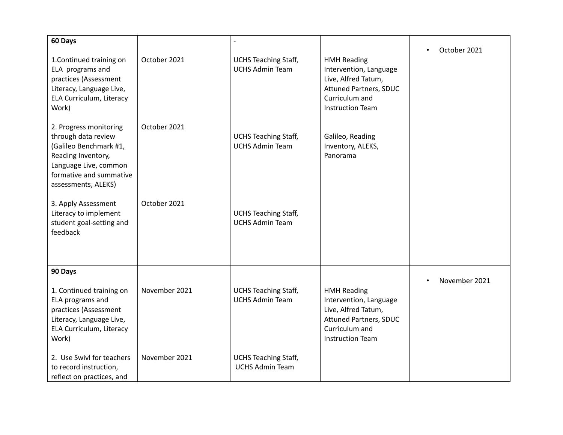| 60 Days                                                                                                                                                                  |               |                                                       |                                                                                                                                                   | October 2021<br>$\bullet$  |
|--------------------------------------------------------------------------------------------------------------------------------------------------------------------------|---------------|-------------------------------------------------------|---------------------------------------------------------------------------------------------------------------------------------------------------|----------------------------|
| 1. Continued training on<br>ELA programs and<br>practices (Assessment<br>Literacy, Language Live,<br>ELA Curriculum, Literacy<br>Work)                                   | October 2021  | <b>UCHS Teaching Staff,</b><br><b>UCHS Admin Team</b> | <b>HMH Reading</b><br>Intervention, Language<br>Live, Alfred Tatum,<br><b>Attuned Partners, SDUC</b><br>Curriculum and<br><b>Instruction Team</b> |                            |
| 2. Progress monitoring<br>through data review<br>(Galileo Benchmark #1,<br>Reading Inventory,<br>Language Live, common<br>formative and summative<br>assessments, ALEKS) | October 2021  | <b>UCHS Teaching Staff,</b><br><b>UCHS Admin Team</b> | Galileo, Reading<br>Inventory, ALEKS,<br>Panorama                                                                                                 |                            |
| 3. Apply Assessment<br>Literacy to implement<br>student goal-setting and<br>feedback                                                                                     | October 2021  | <b>UCHS Teaching Staff,</b><br><b>UCHS Admin Team</b> |                                                                                                                                                   |                            |
| 90 Days                                                                                                                                                                  |               |                                                       |                                                                                                                                                   | November 2021<br>$\bullet$ |
| 1. Continued training on<br>ELA programs and<br>practices (Assessment<br>Literacy, Language Live,<br>ELA Curriculum, Literacy<br>Work)                                   | November 2021 | <b>UCHS Teaching Staff,</b><br><b>UCHS Admin Team</b> | <b>HMH Reading</b><br>Intervention, Language<br>Live, Alfred Tatum,<br><b>Attuned Partners, SDUC</b><br>Curriculum and<br><b>Instruction Team</b> |                            |
| 2. Use Swivl for teachers<br>to record instruction,<br>reflect on practices, and                                                                                         | November 2021 | <b>UCHS Teaching Staff,</b><br><b>UCHS Admin Team</b> |                                                                                                                                                   |                            |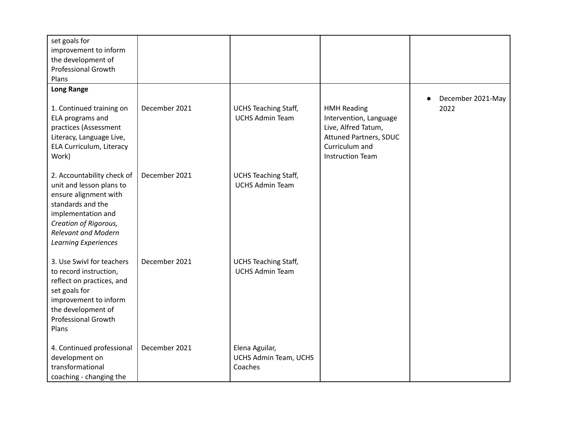| set goals for<br>improvement to inform<br>the development of<br><b>Professional Growth</b><br>Plans                                                                                                              |               |                                                       |                                                                                                                                                   |                                        |
|------------------------------------------------------------------------------------------------------------------------------------------------------------------------------------------------------------------|---------------|-------------------------------------------------------|---------------------------------------------------------------------------------------------------------------------------------------------------|----------------------------------------|
| <b>Long Range</b>                                                                                                                                                                                                |               |                                                       |                                                                                                                                                   |                                        |
| 1. Continued training on<br>ELA programs and<br>practices (Assessment<br>Literacy, Language Live,<br>ELA Curriculum, Literacy<br>Work)                                                                           | December 2021 | <b>UCHS Teaching Staff,</b><br><b>UCHS Admin Team</b> | <b>HMH Reading</b><br>Intervention, Language<br>Live, Alfred Tatum,<br><b>Attuned Partners, SDUC</b><br>Curriculum and<br><b>Instruction Team</b> | December 2021-May<br>$\bullet$<br>2022 |
| 2. Accountability check of<br>unit and lesson plans to<br>ensure alignment with<br>standards and the<br>implementation and<br>Creation of Rigorous,<br><b>Relevant and Modern</b><br><b>Learning Experiences</b> | December 2021 | <b>UCHS Teaching Staff,</b><br><b>UCHS Admin Team</b> |                                                                                                                                                   |                                        |
| 3. Use Swivl for teachers<br>to record instruction,<br>reflect on practices, and<br>set goals for<br>improvement to inform<br>the development of<br><b>Professional Growth</b><br>Plans                          | December 2021 | <b>UCHS Teaching Staff,</b><br><b>UCHS Admin Team</b> |                                                                                                                                                   |                                        |
| 4. Continued professional<br>development on<br>transformational<br>coaching - changing the                                                                                                                       | December 2021 | Elena Aguilar,<br>UCHS Admin Team, UCHS<br>Coaches    |                                                                                                                                                   |                                        |